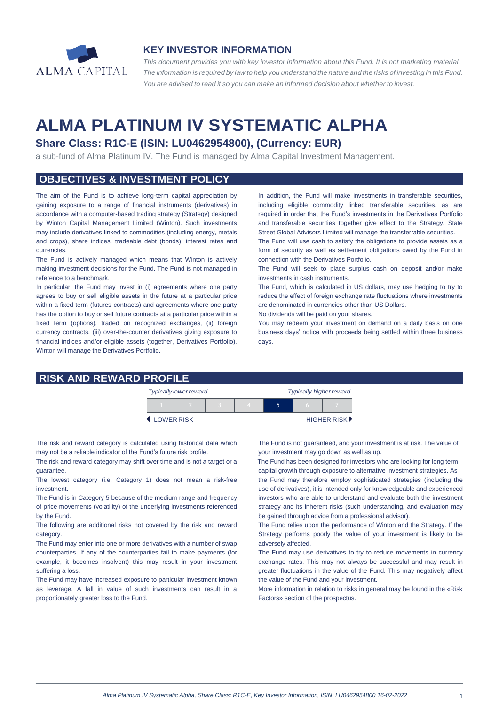

### **KEY INVESTOR INFORMATION**

*This document provides you with key investor information about this Fund. It is not marketing material.*  The information is required by law to help you understand the nature and the risks of investing in this Fund. *You are advised to read it so you can make an informed decision about whether to invest.*

# **ALMA PLATINUM IV SYSTEMATIC ALPHA**

## **Share Class: R1C-E (ISIN: LU0462954800), (Currency: EUR)**

a sub-fund of Alma Platinum IV. The Fund is managed by Alma Capital Investment Management.

### **OBJECTIVES & INVESTMENT POLICY**

The aim of the Fund is to achieve long-term capital appreciation by gaining exposure to a range of financial instruments (derivatives) in accordance with a computer-based trading strategy (Strategy) designed by Winton Capital Management Limited (Winton). Such investments may include derivatives linked to commodities (including energy, metals and crops), share indices, tradeable debt (bonds), interest rates and currencies.

The Fund is actively managed which means that Winton is actively making investment decisions for the Fund. The Fund is not managed in reference to a benchmark.

In particular, the Fund may invest in (i) agreements where one party agrees to buy or sell eligible assets in the future at a particular price within a fixed term (futures contracts) and agreements where one party has the option to buy or sell future contracts at a particular price within a fixed term (options), traded on recognized exchanges, (ii) foreign currency contracts, (iii) over-the-counter derivatives giving exposure to financial indices and/or eligible assets (together, Derivatives Portfolio). Winton will manage the Derivatives Portfolio.

In addition, the Fund will make investments in transferable securities, including eligible commodity linked transferable securities, as are required in order that the Fund's investments in the Derivatives Portfolio and transferable securities together give effect to the Strategy. State Street Global Advisors Limited will manage the transferrable securities.

The Fund will use cash to satisfy the obligations to provide assets as a form of security as well as settlement obligations owed by the Fund in connection with the Derivatives Portfolio.

The Fund will seek to place surplus cash on deposit and/or make investments in cash instruments.

The Fund, which is calculated in US dollars, may use hedging to try to reduce the effect of foreign exchange rate fluctuations where investments are denominated in currencies other than US Dollars.

No dividends will be paid on your shares.

You may redeem your investment on demand on a daily basis on one business days' notice with proceeds being settled within three business days.

#### **RISK AND REWARD PROFILE**

|            | <b>Typically lower reward</b> |  | <b>Typically higher reward</b> |  |  |             |
|------------|-------------------------------|--|--------------------------------|--|--|-------------|
|            |                               |  |                                |  |  |             |
| LOWER RISK |                               |  |                                |  |  | HIGHER RISK |

The risk and reward category is calculated using historical data which may not be a reliable indicator of the Fund's future risk profile.

The risk and reward category may shift over time and is not a target or a guarantee.

The lowest category (i.e. Category 1) does not mean a risk-free investment.

The Fund is in Category 5 because of the medium range and frequency of price movements (volatility) of the underlying investments referenced by the Fund.

The following are additional risks not covered by the risk and reward category.

The Fund may enter into one or more derivatives with a number of swap counterparties. If any of the counterparties fail to make payments (for example, it becomes insolvent) this may result in your investment suffering a loss.

The Fund may have increased exposure to particular investment known as leverage. A fall in value of such investments can result in a proportionately greater loss to the Fund.

The Fund is not guaranteed, and your investment is at risk. The value of your investment may go down as well as up.

 The Fund has been designed for investors who are looking for long term capital growth through exposure to alternative investment strategies. As

the Fund may therefore employ sophisticated strategies (including the use of derivatives), it is intended only for knowledgeable and experienced investors who are able to understand and evaluate both the investment strategy and its inherent risks (such understanding, and evaluation may be gained through advice from a professional advisor).

The Fund relies upon the performance of Winton and the Strategy. If the Strategy performs poorly the value of your investment is likely to be adversely affected.

The Fund may use derivatives to try to reduce movements in currency exchange rates. This may not always be successful and may result in greater fluctuations in the value of the Fund. This may negatively affect the value of the Fund and your investment.

More information in relation to risks in general may be found in the «Risk Factors» section of the prospectus.